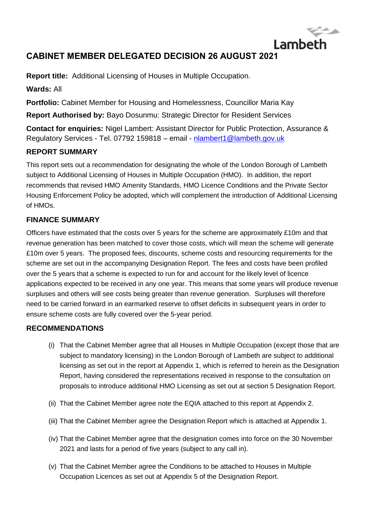# **CABINET MEMBER DELEGATED DECISION 26 AUGUST 2021**

**Report title:** Additional Licensing of Houses in Multiple Occupation.

**Wards:** All

**Portfolio:** Cabinet Member for Housing and Homelessness, Councillor Maria Kay

**Report Authorised by:** Bayo Dosunmu: Strategic Director for Resident Services

**Contact for enquiries:** Nigel Lambert: Assistant Director for Public Protection, Assurance & Regulatory Services - Tel. 07792 159818 – email - [nlambert1@lambeth.gov.uk](mailto:nlambert1@lambeth.gov.uk)

Lambeth

## **REPORT SUMMARY**

This report sets out a recommendation for designating the whole of the London Borough of Lambeth subject to Additional Licensing of Houses in Multiple Occupation (HMO). In addition, the report recommends that revised HMO Amenity Standards, HMO Licence Conditions and the Private Sector Housing Enforcement Policy be adopted, which will complement the introduction of Additional Licensing of HMOs.

#### **FINANCE SUMMARY**

Officers have estimated that the costs over 5 years for the scheme are approximately £10m and that revenue generation has been matched to cover those costs, which will mean the scheme will generate £10m over 5 years. The proposed fees, discounts, scheme costs and resourcing requirements for the scheme are set out in the accompanying Designation Report. The fees and costs have been profiled over the 5 years that a scheme is expected to run for and account for the likely level of licence applications expected to be received in any one year. This means that some years will produce revenue surpluses and others will see costs being greater than revenue generation. Surpluses will therefore need to be carried forward in an earmarked reserve to offset deficits in subsequent years in order to ensure scheme costs are fully covered over the 5-year period.

#### **RECOMMENDATIONS**

- (i) That the Cabinet Member agree that all Houses in Multiple Occupation (except those that are subject to mandatory licensing) in the London Borough of Lambeth are subject to additional licensing as set out in the report at Appendix 1, which is referred to herein as the Designation Report, having considered the representations received in response to the consultation on proposals to introduce additional HMO Licensing as set out at section 5 Designation Report.
- (ii) That the Cabinet Member agree note the EQIA attached to this report at Appendix 2.
- (iii) That the Cabinet Member agree the Designation Report which is attached at Appendix 1.
- (iv) That the Cabinet Member agree that the designation comes into force on the 30 November 2021 and lasts for a period of five years (subject to any call in).
- (v) That the Cabinet Member agree the Conditions to be attached to Houses in Multiple Occupation Licences as set out at Appendix 5 of the Designation Report.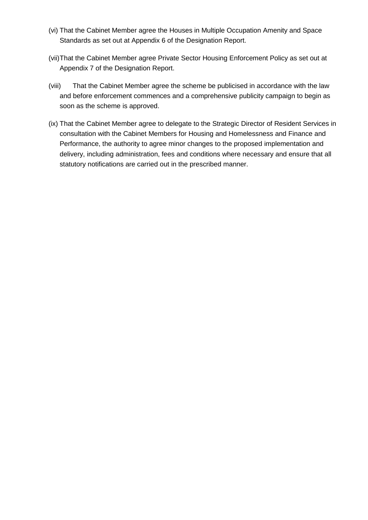- (vi) That the Cabinet Member agree the Houses in Multiple Occupation Amenity and Space Standards as set out at Appendix 6 of the Designation Report.
- (vii)That the Cabinet Member agree Private Sector Housing Enforcement Policy as set out at Appendix 7 of the Designation Report.
- (viii) That the Cabinet Member agree the scheme be publicised in accordance with the law and before enforcement commences and a comprehensive publicity campaign to begin as soon as the scheme is approved.
- (ix) That the Cabinet Member agree to delegate to the Strategic Director of Resident Services in consultation with the Cabinet Members for Housing and Homelessness and Finance and Performance, the authority to agree minor changes to the proposed implementation and delivery, including administration, fees and conditions where necessary and ensure that all statutory notifications are carried out in the prescribed manner.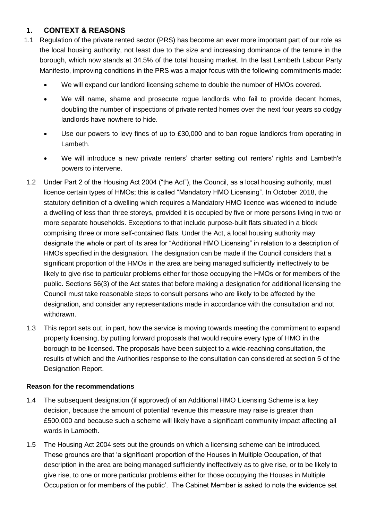## **1. CONTEXT & REASONS**

- 1.1 Regulation of the private rented sector (PRS) has become an ever more important part of our role as the local housing authority, not least due to the size and increasing dominance of the tenure in the borough, which now stands at 34.5% of the total housing market. In the last Lambeth Labour Party Manifesto, improving conditions in the PRS was a major focus with the following commitments made:
	- We will expand our landlord licensing scheme to double the number of HMOs covered.
	- We will name, shame and prosecute rogue landlords who fail to provide decent homes, doubling the number of inspections of private rented homes over the next four years so dodgy landlords have nowhere to hide.
	- Use our powers to levy fines of up to £30,000 and to ban rogue landlords from operating in Lambeth.
	- We will introduce a new private renters' charter setting out renters' rights and Lambeth's powers to intervene.
- 1.2 Under Part 2 of the Housing Act 2004 ("the Act"), the Council, as a local housing authority, must licence certain types of HMOs; this is called "Mandatory HMO Licensing". In October 2018, the statutory definition of a dwelling which requires a Mandatory HMO licence was widened to include a dwelling of less than three storeys, provided it is occupied by five or more persons living in two or more separate households. Exceptions to that include purpose-built flats situated in a block comprising three or more self-contained flats. Under the Act, a local housing authority may designate the whole or part of its area for "Additional HMO Licensing" in relation to a description of HMOs specified in the designation. The designation can be made if the Council considers that a significant proportion of the HMOs in the area are being managed sufficiently ineffectively to be likely to give rise to particular problems either for those occupying the HMOs or for members of the public. Sections 56(3) of the Act states that before making a designation for additional licensing the Council must take reasonable steps to consult persons who are likely to be affected by the designation, and consider any representations made in accordance with the consultation and not withdrawn.
- 1.3 This report sets out, in part, how the service is moving towards meeting the commitment to expand property licensing, by putting forward proposals that would require every type of HMO in the borough to be licensed. The proposals have been subject to a wide-reaching consultation, the results of which and the Authorities response to the consultation can considered at section 5 of the Designation Report.

#### **Reason for the recommendations**

- 1.4 The subsequent designation (if approved) of an Additional HMO Licensing Scheme is a key decision, because the amount of potential revenue this measure may raise is greater than £500,000 and because such a scheme will likely have a significant community impact affecting all wards in Lambeth.
- 1.5 The Housing Act 2004 sets out the grounds on which a licensing scheme can be introduced. These grounds are that 'a significant proportion of the Houses in Multiple Occupation, of that description in the area are being managed sufficiently ineffectively as to give rise, or to be likely to give rise, to one or more particular problems either for those occupying the Houses in Multiple Occupation or for members of the public'. The Cabinet Member is asked to note the evidence set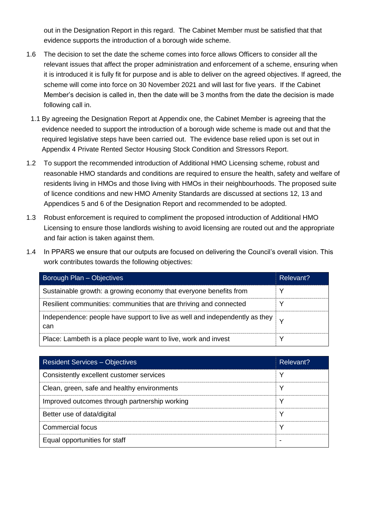out in the Designation Report in this regard. The Cabinet Member must be satisfied that that evidence supports the introduction of a borough wide scheme.

- 1.6 The decision to set the date the scheme comes into force allows Officers to consider all the relevant issues that affect the proper administration and enforcement of a scheme, ensuring when it is introduced it is fully fit for purpose and is able to deliver on the agreed objectives. If agreed, the scheme will come into force on 30 November 2021 and will last for five years. If the Cabinet Member's decision is called in, then the date will be 3 months from the date the decision is made following call in.
	- 1.1 By agreeing the Designation Report at Appendix one, the Cabinet Member is agreeing that the evidence needed to support the introduction of a borough wide scheme is made out and that the required legislative steps have been carried out. The evidence base relied upon is set out in Appendix 4 Private Rented Sector Housing Stock Condition and Stressors Report.
- 1.2 To support the recommended introduction of Additional HMO Licensing scheme, robust and reasonable HMO standards and conditions are required to ensure the health, safety and welfare of residents living in HMOs and those living with HMOs in their neighbourhoods. The proposed suite of licence conditions and new HMO Amenity Standards are discussed at sections 12, 13 and Appendices 5 and 6 of the Designation Report and recommended to be adopted.
- 1.3 Robust enforcement is required to compliment the proposed introduction of Additional HMO Licensing to ensure those landlords wishing to avoid licensing are routed out and the appropriate and fair action is taken against them.
- 1.4 In PPARS we ensure that our outputs are focused on delivering the Council's overall vision. This work contributes towards the following objectives:

| Borough Plan - Objectives                                                                             | Relevant? |
|-------------------------------------------------------------------------------------------------------|-----------|
| Sustainable growth: a growing economy that everyone benefits from                                     |           |
| Resilient communities: communities that are thriving and connected                                    |           |
| Independence: people have support to live as well and independently as they $\vert \downarrow$<br>can |           |
| Place: Lambeth is a place people want to live, work and invest                                        |           |

| <b>Resident Services – Objectives</b>         | Relevant? |
|-----------------------------------------------|-----------|
| Consistently excellent customer services      |           |
| Clean, green, safe and healthy environments   |           |
| Improved outcomes through partnership working |           |
| Better use of data/digital                    | γ         |
| Commercial focus                              |           |
| Equal opportunities for staff                 |           |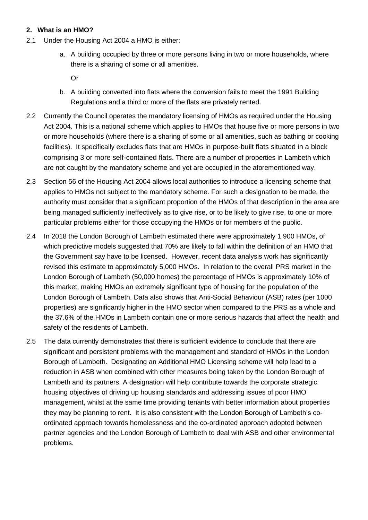#### **2. What is an HMO?**

- 2.1 Under the Housing Act 2004 a HMO is either:
	- a. A building occupied by three or more persons living in two or more households, where there is a sharing of some or all amenities.

Or

- b. A building converted into flats where the conversion fails to meet the 1991 Building Regulations and a third or more of the flats are privately rented.
- 2.2 Currently the Council operates the mandatory licensing of HMOs as required under the Housing Act 2004. This is a national scheme which applies to HMOs that house five or more persons in two or more households (where there is a sharing of some or all amenities, such as bathing or cooking facilities). It specifically excludes flats that are HMOs in purpose-built flats situated in a block comprising 3 or more self-contained flats. There are a number of properties in Lambeth which are not caught by the mandatory scheme and yet are occupied in the aforementioned way.
- 2.3 Section 56 of the Housing Act 2004 allows local authorities to introduce a licensing scheme that applies to HMOs not subject to the mandatory scheme. For such a designation to be made, the authority must consider that a significant proportion of the HMOs of that description in the area are being managed sufficiently ineffectively as to give rise, or to be likely to give rise, to one or more particular problems either for those occupying the HMOs or for members of the public.
- 2.4 In 2018 the London Borough of Lambeth estimated there were approximately 1,900 HMOs, of which predictive models suggested that 70% are likely to fall within the definition of an HMO that the Government say have to be licensed. However, recent data analysis work has significantly revised this estimate to approximately 5,000 HMOs. In relation to the overall PRS market in the London Borough of Lambeth (50,000 homes) the percentage of HMOs is approximately 10% of this market, making HMOs an extremely significant type of housing for the population of the London Borough of Lambeth. Data also shows that Anti-Social Behaviour (ASB) rates (per 1000 properties) are significantly higher in the HMO sector when compared to the PRS as a whole and the 37.6% of the HMOs in Lambeth contain one or more serious hazards that affect the health and safety of the residents of Lambeth.
- 2.5 The data currently demonstrates that there is sufficient evidence to conclude that there are significant and persistent problems with the management and standard of HMOs in the London Borough of Lambeth. Designating an Additional HMO Licensing scheme will help lead to a reduction in ASB when combined with other measures being taken by the London Borough of Lambeth and its partners. A designation will help contribute towards the corporate strategic housing objectives of driving up housing standards and addressing issues of poor HMO management, whilst at the same time providing tenants with better information about properties they may be planning to rent. It is also consistent with the London Borough of Lambeth's coordinated approach towards homelessness and the co-ordinated approach adopted between partner agencies and the London Borough of Lambeth to deal with ASB and other environmental problems.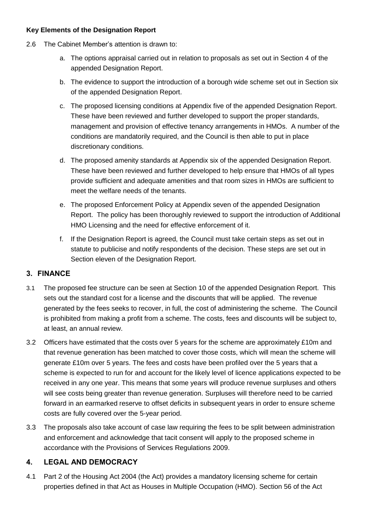#### **Key Elements of the Designation Report**

- 2.6 The Cabinet Member's attention is drawn to:
	- a. The options appraisal carried out in relation to proposals as set out in Section 4 of the appended Designation Report.
	- b. The evidence to support the introduction of a borough wide scheme set out in Section six of the appended Designation Report.
	- c. The proposed licensing conditions at Appendix five of the appended Designation Report. These have been reviewed and further developed to support the proper standards, management and provision of effective tenancy arrangements in HMOs. A number of the conditions are mandatorily required, and the Council is then able to put in place discretionary conditions.
	- d. The proposed amenity standards at Appendix six of the appended Designation Report. These have been reviewed and further developed to help ensure that HMOs of all types provide sufficient and adequate amenities and that room sizes in HMOs are sufficient to meet the welfare needs of the tenants.
	- e. The proposed Enforcement Policy at Appendix seven of the appended Designation Report. The policy has been thoroughly reviewed to support the introduction of Additional HMO Licensing and the need for effective enforcement of it.
	- f. If the Designation Report is agreed, the Council must take certain steps as set out in statute to publicise and notify respondents of the decision. These steps are set out in Section eleven of the Designation Report.

### **3. FINANCE**

- 3.1 The proposed fee structure can be seen at Section 10 of the appended Designation Report. This sets out the standard cost for a license and the discounts that will be applied. The revenue generated by the fees seeks to recover, in full, the cost of administering the scheme. The Council is prohibited from making a profit from a scheme. The costs, fees and discounts will be subject to, at least, an annual review.
- 3.2 Officers have estimated that the costs over 5 years for the scheme are approximately £10m and that revenue generation has been matched to cover those costs, which will mean the scheme will generate £10m over 5 years. The fees and costs have been profiled over the 5 years that a scheme is expected to run for and account for the likely level of licence applications expected to be received in any one year. This means that some years will produce revenue surpluses and others will see costs being greater than revenue generation. Surpluses will therefore need to be carried forward in an earmarked reserve to offset deficits in subsequent years in order to ensure scheme costs are fully covered over the 5-year period.
- 3.3 The proposals also take account of case law requiring the fees to be split between administration and enforcement and acknowledge that tacit consent will apply to the proposed scheme in accordance with the Provisions of Services Regulations 2009.

### **4. LEGAL AND DEMOCRACY**

4.1 Part 2 of the Housing Act 2004 (the Act) provides a mandatory licensing scheme for certain properties defined in that Act as Houses in Multiple Occupation (HMO). Section 56 of the Act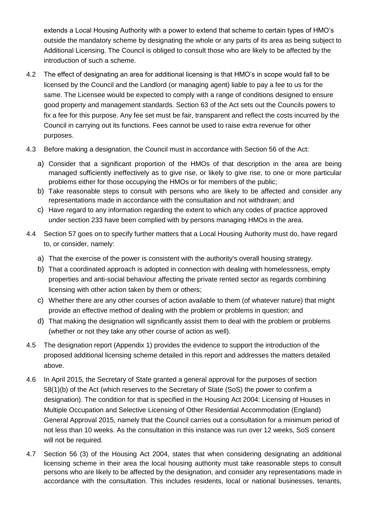extends a Local Housing Authority with a power to extend that scheme to certain types of HMO's outside the mandatory scheme by designating the whole or any parts of its area as being subject to Additional Licensing. The Council is obliged to consult those who are likely to be affected by the introduction of such a scheme.

- 4.2 The effect of designating an area for additional licensing is that HMO's in scope would fall to be licensed by the Council and the Landlord (or managing agent) liable to pay a fee to us for the same. The Licensee would be expected to comply with a range of conditions designed to ensure good property and management standards. Section 63 of the Act sets out the Councils powers to fix a fee for this purpose. Any fee set must be fair, transparent and reflect the costs incurred by the Council in carrying out its functions. Fees cannot be used to raise extra revenue for other purposes.
- 4.3 Before making a designation, the Council must in accordance with Section 56 of the Act:
	- a) Consider that a significant proportion of the HMOs of that description in the area are being managed sufficiently ineffectively as to give rise, or likely to give rise, to one or more particular problems either for those occupying the HMOs or for members of the public;
	- b) Take reasonable steps to consult with persons who are likely to be affected and consider any representations made in accordance with the consultation and not withdrawn; and
	- c) Have regard to any information regarding the extent to which any codes of practice approved under section 233 have been complied with by persons managing HMOs in the area.
- 4.4 Section 57 goes on to specify further matters that a Local Housing Authority must do, have regard to, or consider, namely:
	- a) That the exercise of the power is consistent with the authority's overall housing strategy.
	- b) That a coordinated approach is adopted in connection with dealing with homelessness, empty properties and anti-social behaviour affecting the private rented sector as regards combining licensing with other action taken by them or others;
	- c) Whether there are any other courses of action available to them (of whatever nature) that might provide an effective method of dealing with the problem or problems in question; and
	- d) That making the designation will significantly assist them to deal with the problem or problems (whether or not they take any other course of action as well).
- 4.5 The designation report (Appendix 1) provides the evidence to support the introduction of the proposed additional licensing scheme detailed in this report and addresses the matters detailed above.
- 4.6 In April 2015, the Secretary of State granted a general approval for the purposes of section 58(1)(b) of the Act (which reserves to the Secretary of State (SoS) the power to confirm a designation). The condition for that is specified in the Housing Act 2004: Licensing of Houses in Multiple Occupation and Selective Licensing of Other Residential Accommodation (England) General Approval 2015, namely that the Council carries out a consultation for a minimum period of not less than 10 weeks. As the consultation in this instance was run over 12 weeks, SoS consent will not be required.
- 4.7 Section 56 (3) of the Housing Act 2004, states that when considering designating an additional licensing scheme in their area the local housing authority must take reasonable steps to consult persons who are likely to be affected by the designation, and consider any representations made in accordance with the consultation. This includes residents, local or national businesses, tenants,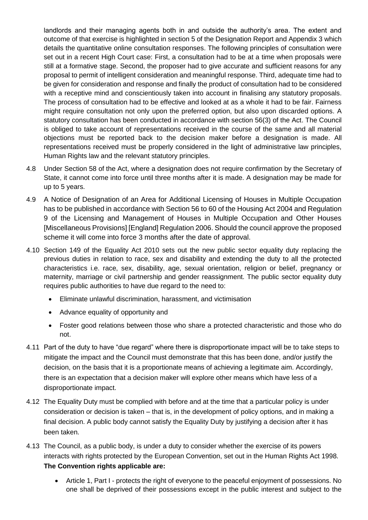landlords and their managing agents both in and outside the authority's area. The extent and outcome of that exercise is highlighted in section 5 of the Designation Report and Appendix 3 which details the quantitative online consultation responses. The following principles of consultation were set out in a recent High Court case: First, a consultation had to be at a time when proposals were still at a formative stage. Second, the proposer had to give accurate and sufficient reasons for any proposal to permit of intelligent consideration and meaningful response. Third, adequate time had to be given for consideration and response and finally the product of consultation had to be considered with a receptive mind and conscientiously taken into account in finalising any statutory proposals. The process of consultation had to be effective and looked at as a whole it had to be fair. Fairness might require consultation not only upon the preferred option, but also upon discarded options. A statutory consultation has been conducted in accordance with section 56(3) of the Act. The Council is obliged to take account of representations received in the course of the same and all material objections must be reported back to the decision maker before a designation is made. All representations received must be properly considered in the light of administrative law principles, Human Rights law and the relevant statutory principles.

- 4.8 Under Section 58 of the Act, where a designation does not require confirmation by the Secretary of State, it cannot come into force until three months after it is made. A designation may be made for up to 5 years.
- 4.9 A Notice of Designation of an Area for Additional Licensing of Houses in Multiple Occupation has to be published in accordance with Section 56 to 60 of the Housing Act 2004 and Regulation 9 of the Licensing and Management of Houses in Multiple Occupation and Other Houses [Miscellaneous Provisions] [England] Regulation 2006. Should the council approve the proposed scheme it will come into force 3 months after the date of approval.
- 4.10 Section 149 of the Equality Act 2010 sets out the new public sector equality duty replacing the previous duties in relation to race, sex and disability and extending the duty to all the protected characteristics i.e. race, sex, disability, age, sexual orientation, religion or belief, pregnancy or maternity, marriage or civil partnership and gender reassignment. The public sector equality duty requires public authorities to have due regard to the need to:
	- Eliminate unlawful discrimination, harassment, and victimisation
	- Advance equality of opportunity and
	- Foster good relations between those who share a protected characteristic and those who do not.
- 4.11 Part of the duty to have "due regard" where there is disproportionate impact will be to take steps to mitigate the impact and the Council must demonstrate that this has been done, and/or justify the decision, on the basis that it is a proportionate means of achieving a legitimate aim. Accordingly, there is an expectation that a decision maker will explore other means which have less of a disproportionate impact.
- 4.12 The Equality Duty must be complied with before and at the time that a particular policy is under consideration or decision is taken – that is, in the development of policy options, and in making a final decision. A public body cannot satisfy the Equality Duty by justifying a decision after it has been taken.
- 4.13 The Council, as a public body, is under a duty to consider whether the exercise of its powers interacts with rights protected by the European Convention, set out in the Human Rights Act 1998. **The Convention rights applicable are:** 
	- Article 1, Part I protects the right of everyone to the peaceful enjoyment of possessions. No one shall be deprived of their possessions except in the public interest and subject to the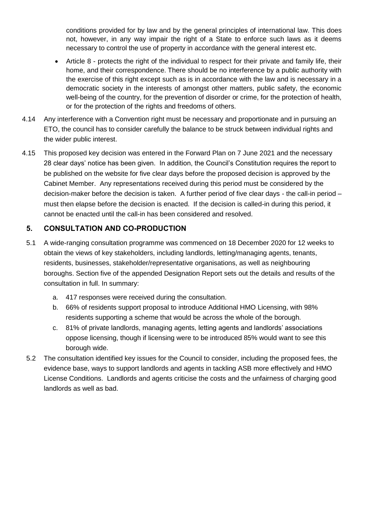conditions provided for by law and by the general principles of international law. This does not, however, in any way impair the right of a State to enforce such laws as it deems necessary to control the use of property in accordance with the general interest etc.

- Article 8 protects the right of the individual to respect for their private and family life, their home, and their correspondence. There should be no interference by a public authority with the exercise of this right except such as is in accordance with the law and is necessary in a democratic society in the interests of amongst other matters, public safety, the economic well-being of the country, for the prevention of disorder or crime, for the protection of health, or for the protection of the rights and freedoms of others.
- 4.14 Any interference with a Convention right must be necessary and proportionate and in pursuing an ETO, the council has to consider carefully the balance to be struck between individual rights and the wider public interest.
- 4.15 This proposed key decision was entered in the Forward Plan on 7 June 2021 and the necessary 28 clear days' notice has been given. In addition, the Council's Constitution requires the report to be published on the website for five clear days before the proposed decision is approved by the Cabinet Member. Any representations received during this period must be considered by the decision-maker before the decision is taken. A further period of five clear days - the call-in period – must then elapse before the decision is enacted. If the decision is called-in during this period, it cannot be enacted until the call-in has been considered and resolved.

## **5. CONSULTATION AND CO-PRODUCTION**

- 5.1 A wide-ranging consultation programme was commenced on 18 December 2020 for 12 weeks to obtain the views of key stakeholders, including landlords, letting/managing agents, tenants, residents, businesses, stakeholder/representative organisations, as well as neighbouring boroughs. Section five of the appended Designation Report sets out the details and results of the consultation in full. In summary:
	- a. 417 responses were received during the consultation.
	- b. 66% of residents support proposal to introduce Additional HMO Licensing, with 98% residents supporting a scheme that would be across the whole of the borough.
	- c. 81% of private landlords, managing agents, letting agents and landlords' associations oppose licensing, though if licensing were to be introduced 85% would want to see this borough wide.
- 5.2 The consultation identified key issues for the Council to consider, including the proposed fees, the evidence base, ways to support landlords and agents in tackling ASB more effectively and HMO License Conditions. Landlords and agents criticise the costs and the unfairness of charging good landlords as well as bad.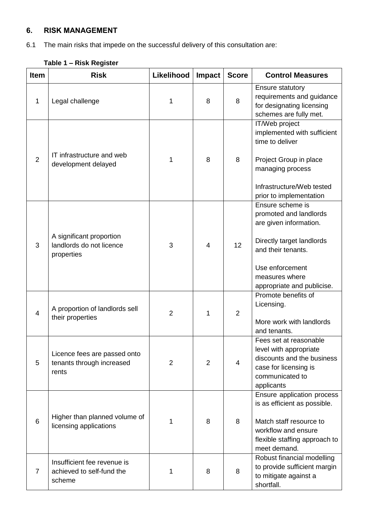# **6. RISK MANAGEMENT**

6.1 The main risks that impede on the successful delivery of this consultation are:

| <b>Item</b>    | <b>Risk</b>                                                        | Likelihood     | Impact         | <b>Score</b>   | <b>Control Measures</b>                                                                                                                                                                    |
|----------------|--------------------------------------------------------------------|----------------|----------------|----------------|--------------------------------------------------------------------------------------------------------------------------------------------------------------------------------------------|
| 1              | Legal challenge                                                    | 1              | 8              | 8              | <b>Ensure statutory</b><br>requirements and guidance<br>for designating licensing<br>schemes are fully met.                                                                                |
| $\overline{2}$ | IT infrastructure and web<br>development delayed                   | 1              | 8              | 8              | IT/Web project<br>implemented with sufficient<br>time to deliver<br>Project Group in place<br>managing process<br>Infrastructure/Web tested<br>prior to implementation                     |
| 3              | A significant proportion<br>landlords do not licence<br>properties | 3              | 4              | 12             | Ensure scheme is<br>promoted and landlords<br>are given information.<br>Directly target landlords<br>and their tenants.<br>Use enforcement<br>measures where<br>appropriate and publicise. |
| 4              | A proportion of landlords sell<br>their properties                 | $\overline{2}$ | 1              | $\overline{2}$ | Promote benefits of<br>Licensing.<br>More work with landlords<br>and tenants.                                                                                                              |
| 5              | Licence fees are passed onto<br>tenants through increased<br>rents | $\overline{2}$ | $\overline{2}$ | 4              | Fees set at reasonable<br>level with appropriate<br>discounts and the business<br>case for licensing is<br>communicated to<br>applicants                                                   |
| 6              | Higher than planned volume of<br>licensing applications            | 1              | 8              | 8              | Ensure application process<br>is as efficient as possible.<br>Match staff resource to<br>workflow and ensure<br>flexible staffing approach to<br>meet demand.                              |
| $\overline{7}$ | Insufficient fee revenue is<br>achieved to self-fund the<br>scheme | 1              | 8              | 8              | Robust financial modelling<br>to provide sufficient margin<br>to mitigate against a<br>shortfall.                                                                                          |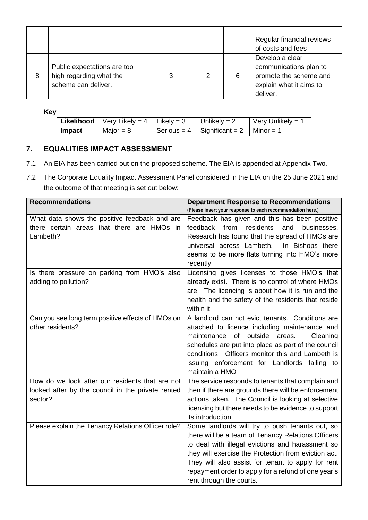|   |                                                                               |   |   |   | Regular financial reviews<br>of costs and fees                                                             |
|---|-------------------------------------------------------------------------------|---|---|---|------------------------------------------------------------------------------------------------------------|
| 8 | Public expectations are too<br>high regarding what the<br>scheme can deliver. | 3 | 2 | 6 | Develop a clear<br>communications plan to<br>promote the scheme and<br>explain what it aims to<br>deliver. |

**Key**

|        | <b>Likelihood</b>   Very Likely = 4   Likely = 3 | Unlikely = $2$                            | $\sqrt{\frac{1}{1}}$ Very Unlikely = 1 |
|--------|--------------------------------------------------|-------------------------------------------|----------------------------------------|
| Impact | Major = $8$                                      | Serious = 4   Significant = 2   Minor = 1 |                                        |

### **7. EQUALITIES IMPACT ASSESSMENT**

- 7.1 An EIA has been carried out on the proposed scheme. The EIA is appended at Appendix Two.
- 7.2 The Corporate Equality Impact Assessment Panel considered in the EIA on the 25 June 2021 and the outcome of that meeting is set out below:

| <b>Recommendations</b>                             | <b>Department Response to Recommendations</b>                  |
|----------------------------------------------------|----------------------------------------------------------------|
|                                                    | (Please insert your response to each recommendation here.)     |
| What data shows the positive feedback and are      | Feedback has given and this has been positive                  |
| there certain areas that there are HMOs in         | feedback<br>from<br>residents<br>and<br>businesses.            |
| Lambeth?                                           | Research has found that the spread of HMOs are                 |
|                                                    | universal across Lambeth.<br>In Bishops there                  |
|                                                    | seems to be more flats turning into HMO's more                 |
|                                                    | recently                                                       |
| Is there pressure on parking from HMO's also       | Licensing gives licenses to those HMO's that                   |
| adding to pollution?                               | already exist. There is no control of where HMOs               |
|                                                    | are. The licencing is about how it is run and the              |
|                                                    | health and the safety of the residents that reside             |
|                                                    | within it                                                      |
| Can you see long term positive effects of HMOs on  | A landlord can not evict tenants. Conditions are               |
| other residents?                                   | attached to licence including maintenance and                  |
|                                                    | of outside<br>maintenance<br>areas.<br>Cleaning                |
|                                                    | schedules are put into place as part of the council            |
|                                                    | conditions. Officers monitor this and Lambeth is               |
|                                                    | issuing enforcement for Landlords failing to<br>maintain a HMO |
| How do we look after our residents that are not    | The service responds to tenants that complain and              |
| looked after by the council in the private rented  | then if there are grounds there will be enforcement            |
| sector?                                            | actions taken. The Council is looking at selective             |
|                                                    | licensing but there needs to be evidence to support            |
|                                                    | its introduction                                               |
| Please explain the Tenancy Relations Officer role? | Some landlords will try to push tenants out, so                |
|                                                    | there will be a team of Tenancy Relations Officers             |
|                                                    | to deal with illegal evictions and harassment so               |
|                                                    | they will exercise the Protection from eviction act.           |
|                                                    | They will also assist for tenant to apply for rent             |
|                                                    | repayment order to apply for a refund of one year's            |
|                                                    | rent through the courts.                                       |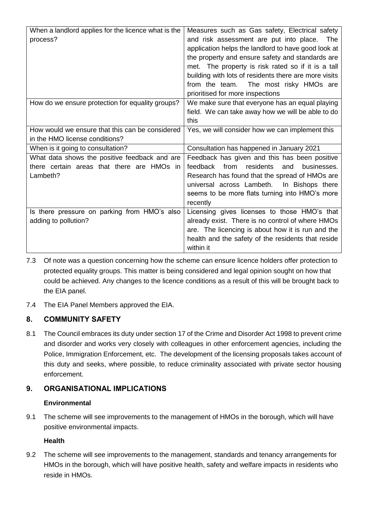| When a landlord applies for the licence what is the<br>process?                                         | Measures such as Gas safety, Electrical safety<br>and risk assessment are put into place. The<br>application helps the landlord to have good look at<br>the property and ensure safety and standards are<br>met. The property is risk rated so if it is a tall<br>building with lots of residents there are more visits<br>from the team. The most risky HMOs are<br>prioritised for more inspections |
|---------------------------------------------------------------------------------------------------------|-------------------------------------------------------------------------------------------------------------------------------------------------------------------------------------------------------------------------------------------------------------------------------------------------------------------------------------------------------------------------------------------------------|
| How do we ensure protection for equality groups?                                                        | We make sure that everyone has an equal playing<br>field. We can take away how we will be able to do<br>this                                                                                                                                                                                                                                                                                          |
| How would we ensure that this can be considered<br>in the HMO license conditions?                       | Yes, we will consider how we can implement this                                                                                                                                                                                                                                                                                                                                                       |
| When is it going to consultation?                                                                       | Consultation has happened in January 2021                                                                                                                                                                                                                                                                                                                                                             |
| What data shows the positive feedback and are<br>there certain areas that there are HMOs in<br>Lambeth? | Feedback has given and this has been positive<br>feedback<br>from<br>residents<br>and<br>businesses.<br>Research has found that the spread of HMOs are<br>universal across Lambeth. In Bishops there<br>seems to be more flats turning into HMO's more<br>recently                                                                                                                                    |
| Is there pressure on parking from HMO's also<br>adding to pollution?                                    | Licensing gives licenses to those HMO's that<br>already exist. There is no control of where HMOs<br>are. The licencing is about how it is run and the<br>health and the safety of the residents that reside<br>within it                                                                                                                                                                              |

- 7.3 Of note was a question concerning how the scheme can ensure licence holders offer protection to protected equality groups. This matter is being considered and legal opinion sought on how that could be achieved. Any changes to the licence conditions as a result of this will be brought back to the EIA panel.
- 7.4 The EIA Panel Members approved the EIA.

# **8. COMMUNITY SAFETY**

8.1 The Council embraces its duty under section 17 of the Crime and Disorder Act 1998 to prevent crime and disorder and works very closely with colleagues in other enforcement agencies, including the Police, Immigration Enforcement, etc. The development of the licensing proposals takes account of this duty and seeks, where possible, to reduce criminality associated with private sector housing enforcement.

# **9. ORGANISATIONAL IMPLICATIONS**

### **Environmental**

9.1 The scheme will see improvements to the management of HMOs in the borough, which will have positive environmental impacts.

### **Health**

9.2 The scheme will see improvements to the management, standards and tenancy arrangements for HMOs in the borough, which will have positive health, safety and welfare impacts in residents who reside in HMOs.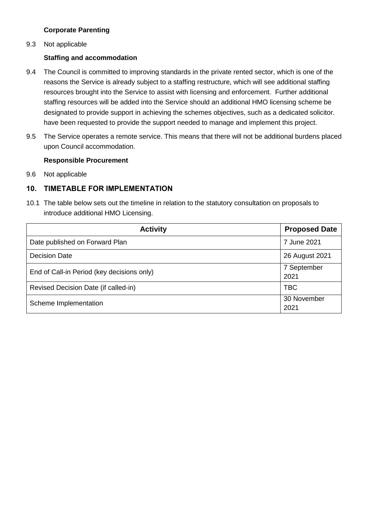#### **Corporate Parenting**

9.3 Not applicable

#### **Staffing and accommodation**

- 9.4 The Council is committed to improving standards in the private rented sector, which is one of the reasons the Service is already subject to a staffing restructure, which will see additional staffing resources brought into the Service to assist with licensing and enforcement. Further additional staffing resources will be added into the Service should an additional HMO licensing scheme be designated to provide support in achieving the schemes objectives, such as a dedicated solicitor. have been requested to provide the support needed to manage and implement this project.
- 9.5 The Service operates a remote service. This means that there will not be additional burdens placed upon Council accommodation.

#### **Responsible Procurement**

9.6 Not applicable

## **10. TIMETABLE FOR IMPLEMENTATION**

10.1 The table below sets out the timeline in relation to the statutory consultation on proposals to introduce additional HMO Licensing.

| <b>Activity</b>                            | <b>Proposed Date</b> |
|--------------------------------------------|----------------------|
| Date published on Forward Plan             | 7 June 2021          |
| <b>Decision Date</b>                       | 26 August 2021       |
| End of Call-in Period (key decisions only) | 7 September<br>2021  |
| Revised Decision Date (if called-in)       | <b>TBC</b>           |
| Scheme Implementation                      | 30 November<br>2021  |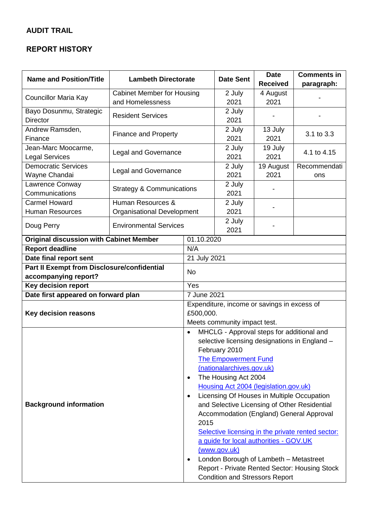# **AUDIT TRAIL**

# **REPORT HISTORY**

| <b>Name and Position/Title</b><br><b>Lambeth Directorate</b>      |                                      |                                                         | <b>Date Sent</b> | <b>Date</b>     | <b>Comments in</b>                            |  |
|-------------------------------------------------------------------|--------------------------------------|---------------------------------------------------------|------------------|-----------------|-----------------------------------------------|--|
|                                                                   |                                      |                                                         |                  | <b>Received</b> | paragraph:                                    |  |
| Councillor Maria Kay                                              | <b>Cabinet Member for Housing</b>    |                                                         | 2 July           | 4 August        |                                               |  |
|                                                                   | and Homelessness                     |                                                         | 2021             | 2021            |                                               |  |
| Bayo Dosunmu, Strategic                                           | <b>Resident Services</b>             |                                                         | 2 July           |                 |                                               |  |
| <b>Director</b>                                                   |                                      |                                                         | 2021             |                 |                                               |  |
| Andrew Ramsden,                                                   | <b>Finance and Property</b>          |                                                         | 2 July           | 13 July         | 3.1 to 3.3                                    |  |
| Finance                                                           |                                      |                                                         | 2021             | 2021            |                                               |  |
| Jean-Marc Moocarme,                                               | <b>Legal and Governance</b>          |                                                         | 2 July           | 19 July         | 4.1 to 4.15                                   |  |
| <b>Legal Services</b>                                             |                                      |                                                         | 2021             | 2021            |                                               |  |
| <b>Democratic Services</b>                                        | <b>Legal and Governance</b>          |                                                         | 2 July           | 19 August       | Recommendati                                  |  |
| Wayne Chandai                                                     |                                      |                                                         | 2021             | 2021            | ons                                           |  |
| Lawrence Conway                                                   | <b>Strategy &amp; Communications</b> |                                                         | 2 July           |                 |                                               |  |
| Communications                                                    |                                      |                                                         | 2021             |                 |                                               |  |
| <b>Carmel Howard</b>                                              | Human Resources &                    |                                                         | 2 July           |                 |                                               |  |
| <b>Human Resources</b>                                            | <b>Organisational Development</b>    |                                                         | 2021             |                 |                                               |  |
| Doug Perry                                                        | <b>Environmental Services</b>        |                                                         | 2 July           |                 |                                               |  |
|                                                                   |                                      |                                                         | 2021             |                 |                                               |  |
| <b>Original discussion with Cabinet Member</b>                    |                                      | 01.10.2020                                              |                  |                 |                                               |  |
| <b>Report deadline</b><br>N/A                                     |                                      |                                                         |                  |                 |                                               |  |
| Date final report sent                                            |                                      | 21 July 2021                                            |                  |                 |                                               |  |
| Part II Exempt from Disclosure/confidential                       |                                      | <b>No</b>                                               |                  |                 |                                               |  |
| accompanying report?                                              |                                      | Yes                                                     |                  |                 |                                               |  |
| <b>Key decision report</b><br>Date first appeared on forward plan |                                      | 7 June 2021                                             |                  |                 |                                               |  |
| <b>Key decision reasons</b>                                       |                                      | Expenditure, income or savings in excess of             |                  |                 |                                               |  |
|                                                                   |                                      | £500,000.                                               |                  |                 |                                               |  |
|                                                                   |                                      | Meets community impact test.                            |                  |                 |                                               |  |
|                                                                   |                                      | MHCLG - Approval steps for additional and<br>$\bullet$  |                  |                 |                                               |  |
|                                                                   |                                      | selective licensing designations in England -           |                  |                 |                                               |  |
|                                                                   |                                      | February 2010                                           |                  |                 |                                               |  |
|                                                                   |                                      | The <b>Empowerment Fund</b>                             |                  |                 |                                               |  |
|                                                                   |                                      | (nationalarchives.gov.uk)                               |                  |                 |                                               |  |
|                                                                   |                                      | The Housing Act 2004<br>٠                               |                  |                 |                                               |  |
|                                                                   |                                      | Housing Act 2004 (legislation.gov.uk)                   |                  |                 |                                               |  |
| <b>Background information</b>                                     |                                      | Licensing Of Houses in Multiple Occupation<br>$\bullet$ |                  |                 |                                               |  |
|                                                                   |                                      | and Selective Licensing of Other Residential            |                  |                 |                                               |  |
|                                                                   |                                      | Accommodation (England) General Approval                |                  |                 |                                               |  |
|                                                                   |                                      | 2015                                                    |                  |                 |                                               |  |
|                                                                   |                                      | Selective licensing in the private rented sector:       |                  |                 |                                               |  |
|                                                                   |                                      | a guide for local authorities - GOV.UK                  |                  |                 |                                               |  |
|                                                                   |                                      | (www.gov.uk)                                            |                  |                 |                                               |  |
|                                                                   |                                      | London Borough of Lambeth - Metastreet<br>٠             |                  |                 |                                               |  |
|                                                                   |                                      |                                                         |                  |                 | Report - Private Rented Sector: Housing Stock |  |
|                                                                   |                                      | <b>Condition and Stressors Report</b>                   |                  |                 |                                               |  |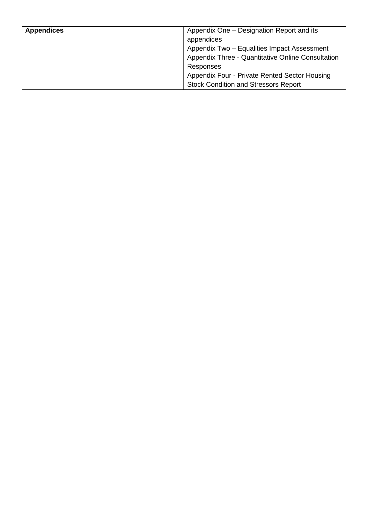| Appendix One – Designation Report and its<br>appendices<br>Appendix Two - Equalities Impact Assessment<br>Appendix Three - Quantitative Online Consultation<br>Responses |
|--------------------------------------------------------------------------------------------------------------------------------------------------------------------------|
| Appendix Four - Private Rented Sector Housing<br><b>Stock Condition and Stressors Report</b>                                                                             |
|                                                                                                                                                                          |